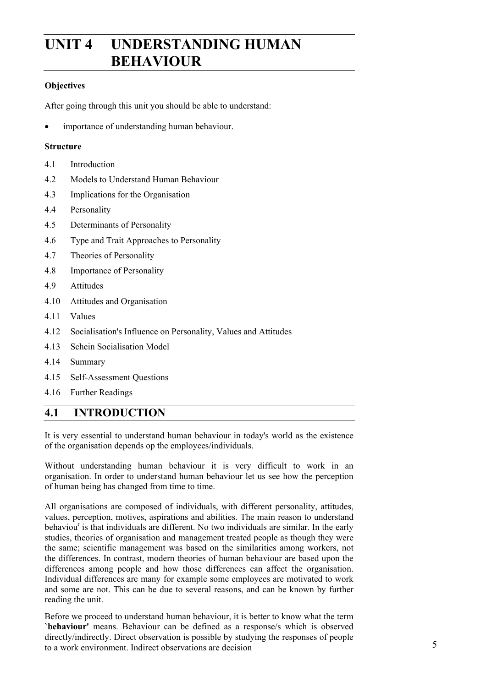# **UNIT 4 UNDERSTANDING HUMAN BEHAVIOUR**

### **Objectives**

After going through this unit you should be able to understand:

importance of understanding human behaviour.

#### **Structure**

- 4.1 Introduction
- 4.2 Models to Understand Human Behaviour
- 4.3 Implications for the Organisation
- 4.4 Personality
- 4.5 Determinants of Personality
- 4.6 Type and Trait Approaches to Personality
- 4.7 Theories of Personality
- 4.8 Importance of Personality
- 4.9 Attitudes
- 4.10 Attitudes and Organisation
- 4.11 Values
- 4.12 Socialisation's Influence on Personality, Values and Attitudes
- 4.13 Schein Socialisation Model
- 4.14 Summary
- 4.15 Self-Assessment Questions
- 4.16 Further Readings

# **4.1 INTRODUCTION**

It is very essential to understand human behaviour in today's world as the existence of the organisation depends op the employees/individuals.

Without understanding human behaviour it is very difficult to work in an organisation. In order to understand human behaviour let us see how the perception of human being has changed from time to time.

All organisations are composed of individuals, with different personality, attitudes, values, perception, motives, aspirations and abilities. The main reason to understand behaviou<sup>r</sup> is that individuals are different. No two individuals are similar. In the early studies, theories of organisation and management treated people as though they were the same; scientific management was based on the similarities among workers, not the differences. In contrast, modern theories of human behaviour are based upon the differences among people and how those differences can affect the organisation. Individual differences are many for example some employees are motivated to work and some are not. This can be due to several reasons, and can be known by further reading the unit.

Before we proceed to understand human behaviour, it is better to know what the term **`behaviour'** means. Behaviour can be defined as a response/s which is observed directly/indirectly. Direct observation is possible by studying the responses of people  $t_0$  a work environment. Indirect observations are decision  $5$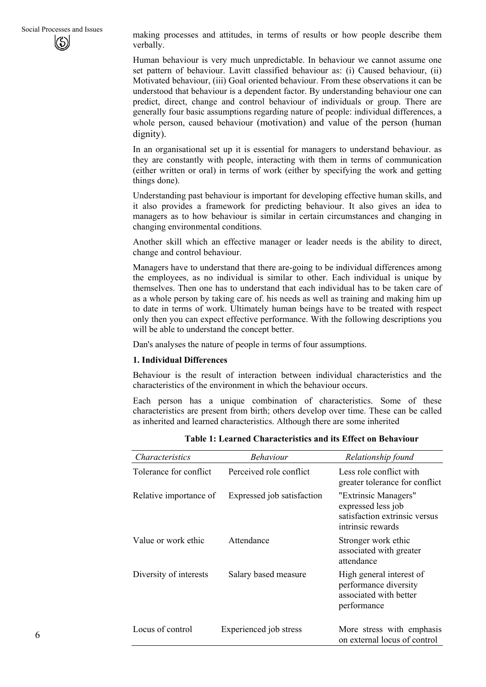making processes and attitudes, in terms of results or how people describe them verbally.

Human behaviour is very much unpredictable. In behaviour we cannot assume one set pattern of behaviour. Lavitt classified behaviour as: (i) Caused behaviour, (ii) Motivated behaviour, (iii) Goal oriented behaviour. From these observations it can be understood that behaviour is a dependent factor. By understanding behaviour one can predict, direct, change and control behaviour of individuals or group. There are generally four basic assumptions regarding nature of people: individual differences, a whole person, caused behaviour (motivation) and value of the person (human dignity).

In an organisational set up it is essential for managers to understand behaviour. as they are constantly with people, interacting with them in terms of communication (either written or oral) in terms of work (either by specifying the work and getting things done).

Understanding past behaviour is important for developing effective human skills, and it also provides a framework for predicting behaviour. It also gives an idea to managers as to how behaviour is similar in certain circumstances and changing in changing environmental conditions.

Another skill which an effective manager or leader needs is the ability to direct, change and control behaviour.

Managers have to understand that there are-going to be individual differences among the employees, as no individual is similar to other. Each individual is unique by themselves. Then one has to understand that each individual has to be taken care of as a whole person by taking care of. his needs as well as training and making him up to date in terms of work. Ultimately human beings have to be treated with respect only then you can expect effective performance. With the following descriptions you will be able to understand the concept better.

Dan's analyses the nature of people in terms of four assumptions.

#### **1. Individual Differences**

Behaviour is the result of interaction between individual characteristics and the characteristics of the environment in which the behaviour occurs.

Each person has a unique combination of characteristics. Some of these characteristics are present from birth; others develop over time. These can be called as inherited and learned characteristics. Although there are some inherited

| <i>Characteristics</i> | <b>Behaviour</b>           | Relationship found                                                                               |
|------------------------|----------------------------|--------------------------------------------------------------------------------------------------|
| Tolerance for conflict | Perceived role conflict    | Less role conflict with<br>greater tolerance for conflict                                        |
| Relative importance of | Expressed job satisfaction | "Extrinsic Managers"<br>expressed less job<br>satisfaction extrinsic versus<br>intrinsic rewards |
| Value or work ethic    | Attendance                 | Stronger work ethic<br>associated with greater<br>attendance                                     |
| Diversity of interests | Salary based measure       | High general interest of<br>performance diversity<br>associated with better<br>performance       |
| Locus of control       | Experienced job stress     | More stress with emphasis<br>on external locus of control                                        |

**Table 1: Learned Characteristics and its Effect on Behaviour**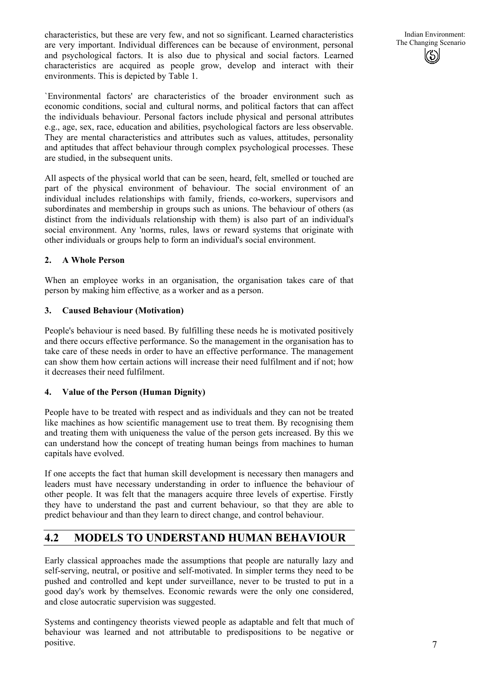characteristics, but these are very few, and not so significant. Learned characteristics are very important. Individual differences can be because of environment, personal and psychological factors. It is also due to physical and social factors. Learned characteristics are acquired as people grow, develop and interact with their environments. This is depicted by Table 1.

Indian Environment: The Changing Scenario

`Environmental factors' are characteristics of the broader environment such as economic conditions, social and. cultural norms, and political factors that can affect the individuals behaviour. Personal factors include physical and personal attributes e.g., age, sex, race, education and abilities, psychological factors are less observable. They are mental characteristics and attributes such as values, attitudes, personality and aptitudes that affect behaviour through complex psychological processes. These are studied, in the subsequent units.

All aspects of the physical world that can be seen, heard, felt, smelled or touched are part of the physical environment of behaviour. The social environment of an individual includes relationships with family, friends, co-workers, supervisors and subordinates and membership in groups such as unions. The behaviour of others (as distinct from the individuals relationship with them) is also part of an individual's social environment. Any 'norms, rules, laws or reward systems that originate with other individuals or groups help to form an individual's social environment.

#### **2. A Whole Person**

When an employee works in an organisation, the organisation takes care of that person by making him effective, as a worker and as a person.

#### **3. Caused Behaviour (Motivation)**

People's behaviour is need based. By fulfilling these needs he is motivated positively and there occurs effective performance. So the management in the organisation has to take care of these needs in order to have an effective performance. The management can show them how certain actions will increase their need fulfilment and if not; how it decreases their need fulfilment.

#### **4. Value of the Person (Human Dignity)**

People have to be treated with respect and as individuals and they can not be treated like machines as how scientific management use to treat them. By recognising them and treating them with uniqueness the value of the person gets increased. By this we can understand how the concept of treating human beings from machines to human capitals have evolved.

If one accepts the fact that human skill development is necessary then managers and leaders must have necessary understanding in order to influence the behaviour of other people. It was felt that the managers acquire three levels of expertise. Firstly they have to understand the past and current behaviour, so that they are able to predict behaviour and than they learn to direct change, and control behaviour.

# **4.2 MODELS TO UNDERSTAND HUMAN BEHAVIOUR**

Early classical approaches made the assumptions that people are naturally lazy and self-serving, neutral, or positive and self-motivated. In simpler terms they need to be pushed and controlled and kept under surveillance, never to be trusted to put in a good day's work by themselves. Economic rewards were the only one considered, and close autocratic supervision was suggested.

Systems and contingency theorists viewed people as adaptable and felt that much of behaviour was learned and not attributable to predispositions to be negative or positive.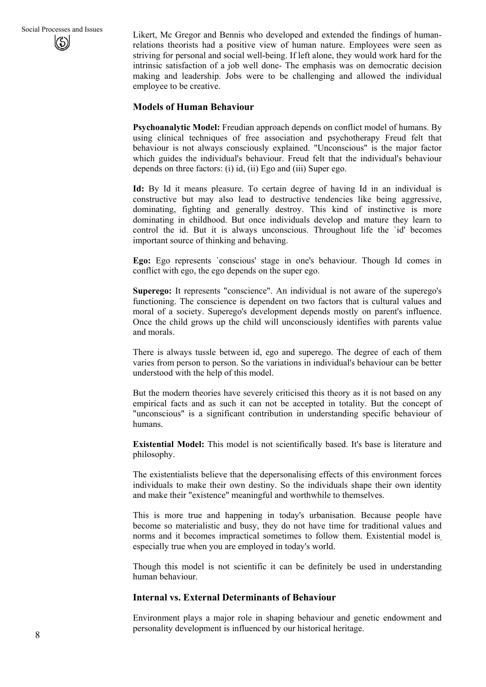Likert, Mc Gregor and Bennis who developed and extended the findings of humanrelations theorists had a positive view of human nature. Employees were seen as striving for personal and social well-being. If left alone, they would work hard for the intrinsic satisfaction of a job well done- The emphasis was on democratic decision making and leadership. Jobs were to be challenging and allowed the individual employee to be creative.

#### **Models of Human Behaviour**

**Psychoanalytic Model:** Freudian approach depends on conflict model of humans. By using clinical techniques of free association and psychotherapy Freud felt that behaviour is not always consciously explained. "Unconscious" is the major factor which guides the individual's behaviour. Freud felt that the individual's behaviour depends on three factors: (i) id, (ii) Ego and (iii) Super ego.

**Id:** By Id it means pleasure. To certain degree of having Id in an individual is constructive but may also lead to destructive tendencies like being aggressive, dominating, fighting and generally destroy. This kind of instinctive is more dominating in childhood. But once individuals develop and mature they learn to control the id. But it is always unconscious. Throughout life the `id' becomes important source of thinking and behaving.

**Ego:** Ego represents `conscious' stage in one's behaviour. Though Id comes in conflict with ego, the ego depends on the super ego.

**Superego:** It represents "conscience". An individual is not aware of the superego's functioning. The conscience is dependent on two factors that is cultural values and moral of a society. Superego's development depends mostly on parent's influence. Once the child grows up the child will unconsciously identifies with parents value and morals.

There is always tussle between id, ego and superego. The degree of each of them varies from person to person. So the variations in individual's behaviour can be better understood with the help of this model.

But the modern theories have severely criticised this theory as it is not based on any empirical facts and as such it can not be accepted in totality. But the concept of "unconscious" is a significant contribution in understanding specific behaviour of humans.

**Existential Model:** This model is not scientifically based. It's base is literature and philosophy.

The existentialists believe that the depersonalising effects of this environment forces individuals to make their own destiny. So the individuals shape their own identity and make their "existence" meaningful and worthwhile to themselves.

This is more true and happening in today's urbanisation. Because people have become so materialistic and busy, they do not have time for traditional values and norms and it becomes impractical sometimes to follow them. Existential model is, especially true when you are employed in today's world.

Though this model is not scientific it can be definitely be used in understanding human behaviour.

#### **Internal vs. External Determinants of Behaviour**

Environment plays a major role in shaping behaviour and genetic endowment and personality development is influenced by our historical heritage.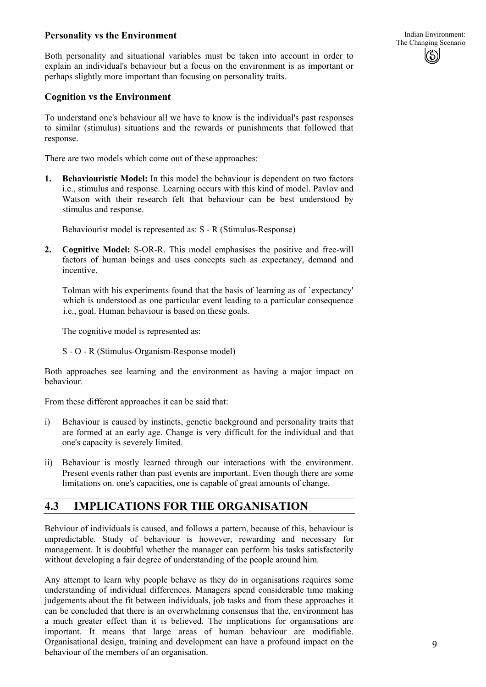#### **Personality vs the Environment**

Both personality and situational variables must be taken into account in order to explain an individual's behaviour but a focus on the environment is as important or perhaps slightly more important than focusing on personality traits.

#### **Cognition vs the Environment**

To understand one's behaviour all we have to know is the individual's past responses to similar (stimulus) situations and the rewards or punishments that followed that response.

There are two models which come out of these approaches:

**1. Behaviouristic Model:** In this model the behaviour is dependent on two factors i.e., stimulus and response. Learning occurs with this kind of model. Pavlov and Watson with their research felt that behaviour can be best understood by stimulus and response.

Behaviourist model is represented as: S - R (Stimulus-Response)

**2. Cognitive Model:** S-OR-R. This model emphasises the positive and free-will factors of human beings and uses concepts such as expectancy, demand and incentive.

Tolman with his experiments found that the basis of learning as of `expectancy' which is understood as one particular event leading to a particular consequence i.e., goal. Human behaviour is based on these goals.

The cognitive model is represented as:

S - O - R (Stimulus-Organism-Response model)

Both approaches see learning and the environment as having a major impact on behaviour.

From these different approaches it can be said that:

- i) Behaviour is caused by instincts, genetic background and personality traits that are formed at an early age. Change is very difficult for the individual and that one's capacity is severely limited.
- ii) Behaviour is mostly learned through our interactions with the environment. Present events rather than past events are important. Even though there are some limitations on. one's capacities, one is capable of great amounts of change.

## **4.3 IMPLICATIONS FOR THE ORGANISATION**

Behviour of individuals is caused, and follows a pattern, because of this, behaviour is unpredictable. Study of behaviour is however, rewarding and necessary for management. It is doubtful whether the manager can perform his tasks satisfactorily without developing a fair degree of understanding of the people around him.

Any attempt to learn why people behave as they do in organisations requires some understanding of individual differences. Managers spend considerable time making judgements about the fit between individuals, job tasks and from these approaches it can be concluded that there is an overwhelming consensus that the, environment has a much greater effect than it is believed. The implications for organisations are important. It means that large areas of human behaviour are modifiable. Organisational design, training and development can have a profound impact on the behaviour of the members of an organisation.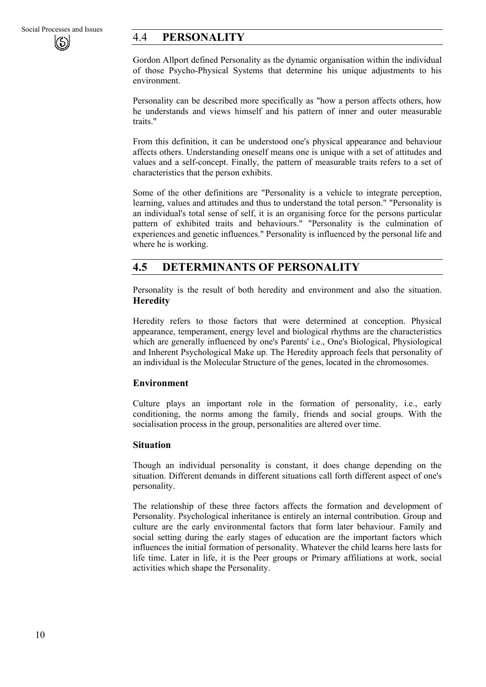# 4.4 **PERSONALITY**

Gordon Allport defined Personality as the dynamic organisation within the individual of those Psycho-Physical Systems that determine his unique adjustments to his environment.

Personality can be described more specifically as "how a person affects others, how he understands and views himself and his pattern of inner and outer measurable traits."

From this definition, it can be understood one's physical appearance and behaviour affects others. Understanding oneself means one is unique with a set of attitudes and values and a self-concept. Finally, the pattern of measurable traits refers to a set of characteristics that the person exhibits.

Some of the other definitions are "Personality is a vehicle to integrate perception, learning, values and attitudes and thus to understand the total person." "Personality is an individual's total sense of self, it is an organising force for the persons particular pattern of exhibited traits and behaviours." "Personality is the culmination of experiences and genetic influences." Personality is influenced by the personal life and where he is working.

# **4.5 DETERMINANTS OF PERSONALITY**

Personality is the result of both heredity and environment and also the situation. **Heredity** 

Heredity refers to those factors that were determined at conception. Physical appearance, temperament, energy level and biological rhythms are the characteristics which are generally influenced by one's Parents' i.e., One's Biological, Physiological and Inherent Psychological Make up. The Heredity approach feels that personality of an individual is the Molecular Structure of the genes, located in the chromosomes.

#### **Environment**

Culture plays an important role in the formation of personality, i.e., early conditioning, the norms among the family, friends and social groups. With the socialisation process in the group, personalities are altered over time.

#### **Situation**

Though an individual personality is constant, it does change depending on the situation. Different demands in different situations call forth different aspect of one's personality.

The relationship of these three factors affects the formation and development of Personality. Psychological inheritance is entirely an internal contribution. Group and culture are the early environmental factors that form later behaviour. Family and social setting during the early stages of education are the important factors which influences the initial formation of personality. Whatever the child learns here lasts for life time. Later in life, it is the Peer groups or Primary affiliations at work, social activities which shape the Personality.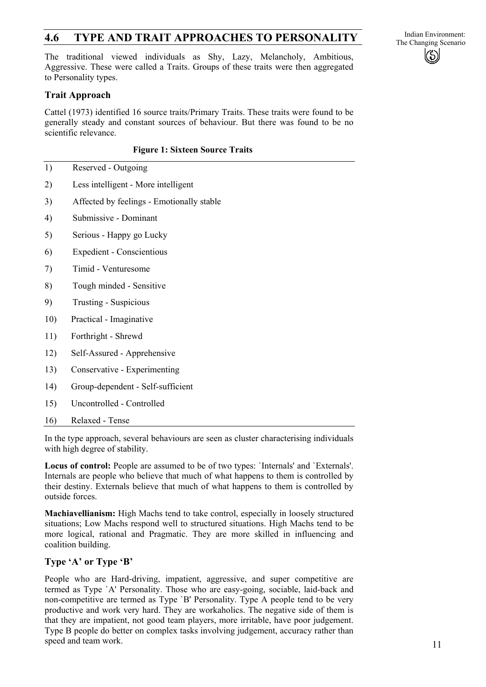# **4.6 TYPE AND TRAIT APPROACHES TO PERSONALITY** The Changing Scenario

The traditional viewed individuals as Shy, Lazy, Melancholy, Ambitious, Aggressive. These were called a Traits. Groups of these traits were then aggregated to Personality types.

### **Trait Approach**

Cattel (1973) identified 16 source traits/Primary Traits. These traits were found to be generally steady and constant sources of behaviour. But there was found to be no scientific relevance.

#### **Figure 1: Sixteen Source Traits**

- 1) Reserved Outgoing
- 2) Less intelligent - More intelligent
- 3) Affected by feelings - Emotionally stable
- 4) Submissive - Dominant
- 5) Serious - Happy go Lucky
- 6) Expedient - Conscientious
- 7) Timid - Venturesome
- 8) Tough minded - Sensitive
- 9) Trusting - Suspicious
- 10) Practical - Imaginative
- 11) Forthright - Shrewd
- 12) Self-Assured - Apprehensive
- 13) Conservative - Experimenting
- 14) Group-dependent - Self-sufficient
- 15) Uncontrolled - Controlled
- 16) Relaxed - Tense

In the type approach, several behaviours are seen as cluster characterising individuals with high degree of stability.

**Locus of control:** People are assumed to be of two types: `Internals' and `Externals'. Internals are people who believe that much of what happens to them is controlled by their destiny. Externals believe that much of what happens to them is controlled by outside forces.

**Machiavellianism:** High Machs tend to take control, especially in loosely structured situations; Low Machs respond well to structured situations. High Machs tend to be more logical, rational and Pragmatic. They are more skilled in influencing and coalition building.

#### **Type 'A' or Type 'B'**

People who are Hard-driving, impatient, aggressive, and super competitive are termed as Type `A' Personality. Those who are easy-going, sociable, laid-back and non-competitive are termed as Type `B' Personality. Type A people tend to be very productive and work very hard. They are workaholics. The negative side of them is that they are impatient, not good team players, more irritable, have poor judgement. Type B people do better on complex tasks involving judgement, accuracy rather than speed and team work.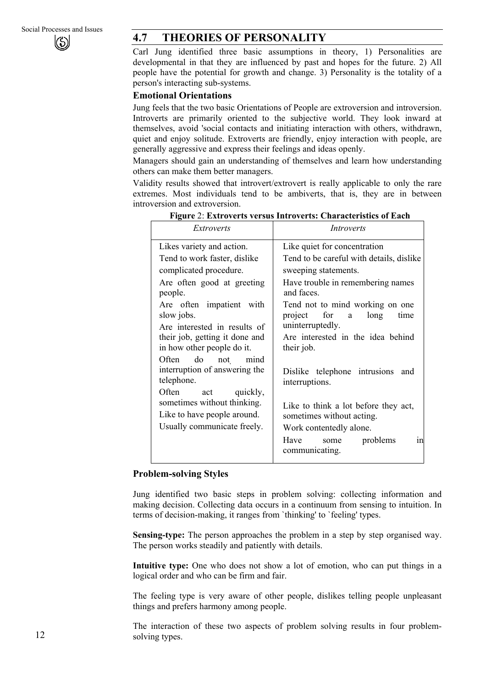# **4.7 THEORIES OF PERSONALITY**

Carl Jung identified three basic assumptions in theory, 1) Personalities are developmental in that they are influenced by past and hopes for the future. 2) All people have the potential for growth and change. 3) Personality is the totality of a person's interacting sub-systems.

#### **Emotional Orientations**

Jung feels that the two basic Orientations of People are extroversion and introversion. Introverts are primarily oriented to the subjective world. They look inward at themselves, avoid 'social contacts and initiating interaction with others, withdrawn, quiet and enjoy solitude. Extroverts are friendly, enjoy interaction with people, are generally aggressive and express their feelings and ideas openly.

Managers should gain an understanding of themselves and learn how understanding others can make them better managers.

Validity results showed that introvert/extrovert is really applicable to only the rare extremes. Most individuals tend to be ambiverts, that is, they are in between introversion and extroversion.

| Extroverts                                                                                                                                                                                                                                                                                                                                                                                                                                                    | Introverts                                                                                                                                                                                                                                                                                                                                                                                                                                        |
|---------------------------------------------------------------------------------------------------------------------------------------------------------------------------------------------------------------------------------------------------------------------------------------------------------------------------------------------------------------------------------------------------------------------------------------------------------------|---------------------------------------------------------------------------------------------------------------------------------------------------------------------------------------------------------------------------------------------------------------------------------------------------------------------------------------------------------------------------------------------------------------------------------------------------|
| Likes variety and action.<br>Tend to work faster, dislike<br>complicated procedure.<br>Are often good at greeting<br>people.<br>Are often impatient with<br>slow jobs.<br>Are interested in results of<br>their job, getting it done and<br>in how other people do it.<br>Often do not mind<br>interruption of answering the<br>telephone.<br>Often act quickly,<br>sometimes without thinking.<br>Like to have people around.<br>Usually communicate freely. | Like quiet for concentration<br>Tend to be careful with details, dislike<br>sweeping statements.<br>Have trouble in remembering names<br>and faces.<br>Tend not to mind working on one<br>project for a long<br>time<br>uninterruptedly.<br>Are interested in the idea behind<br>their job.<br>Dislike telephone intrusions and<br>interruptions.<br>Like to think a lot before they act,<br>sometimes without acting.<br>Work contentedly alone. |
|                                                                                                                                                                                                                                                                                                                                                                                                                                                               | some problems<br>Have<br>1n<br>communicating.                                                                                                                                                                                                                                                                                                                                                                                                     |

**Figure** 2: **Extroverts versus Introverts: Characteristics of Each** 

#### **Problem-solving Styles**

Jung identified two basic steps in problem solving: collecting information and making decision. Collecting data occurs in a continuum from sensing to intuition. In terms of decision-making, it ranges from `thinking' to `feeling' types.

**Sensing-type:** The person approaches the problem in a step by step organised way. The person works steadily and patiently with details.

**Intuitive type:** One who does not show a lot of emotion, who can put things in a logical order and who can be firm and fair.

The feeling type is very aware of other people, dislikes telling people unpleasant things and prefers harmony among people.

The interaction of these two aspects of problem solving results in four problemsolving types.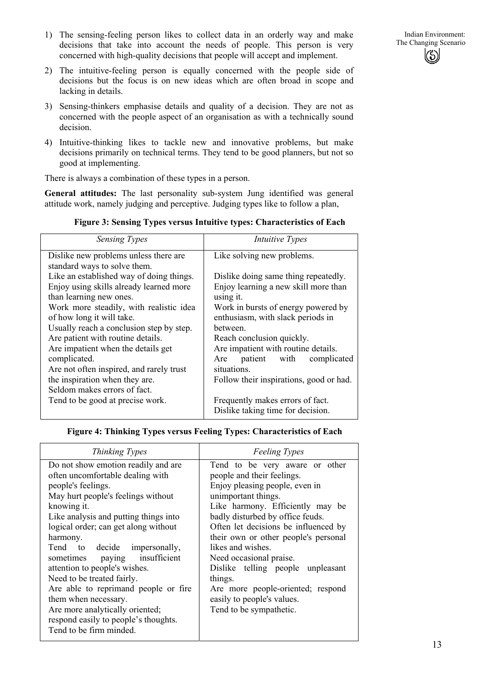

- 2) The intuitive-feeling person is equally concerned with the people side of decisions but the focus is on new ideas which are often broad in scope and lacking in details.
- 3) Sensing-thinkers emphasise details and quality of a decision. They are not as concerned with the people aspect of an organisation as with a technically sound decision.
- 4) Intuitive-thinking likes to tackle new and innovative problems, but make decisions primarily on technical terms. They tend to be good planners, but not so good at implementing.

There is always a combination of these types in a person.

**General attitudes:** The last personality sub-system Jung identified was general attitude work, namely judging and perceptive. Judging types like to follow a plan,

| <b>Sensing Types</b>                     | <i>Intuitive Types</i>                  |
|------------------------------------------|-----------------------------------------|
| Dislike new problems unless there are    | Like solving new problems.              |
| standard ways to solve them.             |                                         |
| Like an established way of doing things. | Dislike doing same thing repeatedly.    |
| Enjoy using skills already learned more  | Enjoy learning a new skill more than    |
| than learning new ones.                  | using it.                               |
| Work more steadily, with realistic idea  | Work in bursts of energy powered by     |
| of how long it will take.                | enthusiasm, with slack periods in       |
| Usually reach a conclusion step by step. | <b>between</b>                          |
| Are patient with routine details.        | Reach conclusion quickly.               |
| Are impatient when the details get       | Are impatient with routine details.     |
| complicated.                             | Are patient with complicated            |
| Are not often inspired, and rarely trust | situations.                             |
| the inspiration when they are.           | Follow their inspirations, good or had. |
| Seldom makes errors of fact.             |                                         |
| Tend to be good at precise work.         | Frequently makes errors of fact.        |
|                                          | Dislike taking time for decision.       |

#### **Figure 3: Sensing Types versus Intuitive types: Characteristics of Each**

#### **Figure 4: Thinking Types versus Feeling Types: Characteristics of Each**

| Thinking Types                                                                                                                                                                                                                                                                                                                                                                                                                                                                                                                | <b>Feeling Types</b>                                                                                                                                                                                                                                                                                                                                                                                                                                                        |
|-------------------------------------------------------------------------------------------------------------------------------------------------------------------------------------------------------------------------------------------------------------------------------------------------------------------------------------------------------------------------------------------------------------------------------------------------------------------------------------------------------------------------------|-----------------------------------------------------------------------------------------------------------------------------------------------------------------------------------------------------------------------------------------------------------------------------------------------------------------------------------------------------------------------------------------------------------------------------------------------------------------------------|
| Do not show emotion readily and are<br>often uncomfortable dealing with<br>people's feelings.<br>May hurt people's feelings without<br>knowing it.<br>Like analysis and putting things into<br>logical order; can get along without<br>harmony.<br>Tend to decide impersonally,<br>paying insufficient<br>sometimes<br>attention to people's wishes.<br>Need to be treated fairly.<br>Are able to reprimand people or fire<br>them when necessary.<br>Are more analytically oriented;<br>respond easily to people's thoughts. | Tend to be very aware or other<br>people and their feelings.<br>Enjoy pleasing people, even in<br>unimportant things.<br>Like harmony. Efficiently may be<br>badly disturbed by office feuds.<br>Often let decisions be influenced by<br>their own or other people's personal<br>likes and wishes.<br>Need occasional praise.<br>Dislike telling people unpleasant<br>things.<br>Are more people-oriented; respond<br>easily to people's values.<br>Tend to be sympathetic. |
| Tend to be firm minded.                                                                                                                                                                                                                                                                                                                                                                                                                                                                                                       |                                                                                                                                                                                                                                                                                                                                                                                                                                                                             |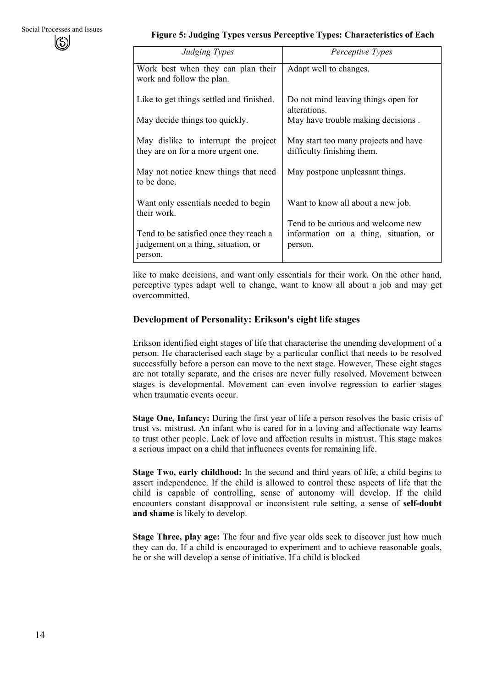### **Figure 5: Judging Types versus Perceptive Types: Characteristics of Each**

| Judging Types                                                                            | Perceptive Types                                                                       |
|------------------------------------------------------------------------------------------|----------------------------------------------------------------------------------------|
| Work best when they can plan their<br>work and follow the plan.                          | Adapt well to changes.                                                                 |
| Like to get things settled and finished.                                                 | Do not mind leaving things open for<br>alterations.                                    |
| May decide things too quickly.                                                           | May have trouble making decisions.                                                     |
| May dislike to interrupt the project<br>they are on for a more urgent one.               | May start too many projects and have<br>difficulty finishing them.                     |
| May not notice knew things that need<br>to be done.                                      | May postpone unpleasant things.                                                        |
| Want only essentials needed to begin<br>their work.                                      | Want to know all about a new job.                                                      |
| Tend to be satisfied once they reach a<br>judgement on a thing, situation, or<br>person. | Tend to be curious and welcome new<br>information on a thing, situation, or<br>person. |

like to make decisions, and want only essentials for their work. On the other hand, perceptive types adapt well to change, want to know all about a job and may get overcommitted.

### **Development of Personality: Erikson's eight life stages**

Erikson identified eight stages of life that characterise the unending development of a person. He characterised each stage by a particular conflict that needs to be resolved successfully before a person can move to the next stage. However, These eight stages are not totally separate, and the crises are never fully resolved. Movement between stages is developmental. Movement can even involve regression to earlier stages when traumatic events occur.

**Stage One, Infancy:** During the first year of life a person resolves the basic crisis of trust vs. mistrust. An infant who is cared for in a loving and affectionate way learns to trust other people. Lack of love and affection results in mistrust. This stage makes a serious impact on a child that influences events for remaining life.

**Stage Two, early childhood:** In the second and third years of life, a child begins to assert independence. If the child is allowed to control these aspects of life that the child is capable of controlling, sense of autonomy will develop. If the child encounters constant disapproval or inconsistent rule setting, a sense of **self-doubt and shame** is likely to develop.

**Stage Three, play age:** The four and five year olds seek to discover just how much they can do. If a child is encouraged to experiment and to achieve reasonable goals, he or she will develop a sense of initiative. If a child is blocked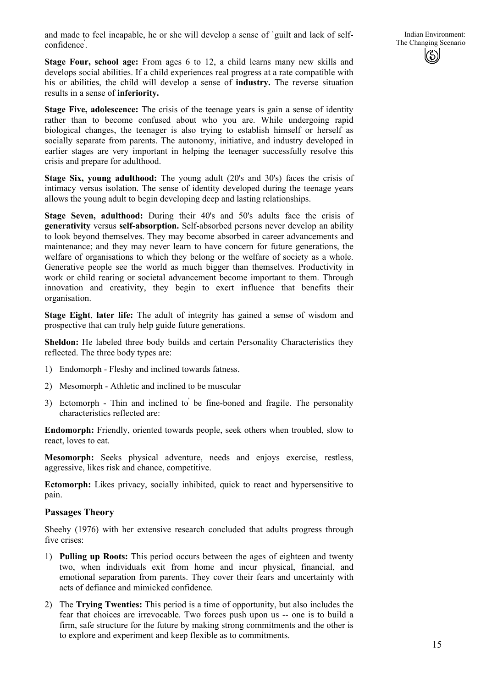and made to feel incapable, he or she will develop a sense of `guilt and lack of selfconfidence' .

Indian Environment: The Changing Scenario

**Stage Four, school age:** From ages 6 to 12, a child learns many new skills and develops social abilities. If a child experiences real progress at a rate compatible with his or abilities, the child will develop a sense of **industry.** The reverse situation results in a sense of **inferiority.** 

**Stage Five, adolescence:** The crisis of the teenage years is gain a sense of identity rather than to become confused about who you are. While undergoing rapid biological changes, the teenager is also trying to establish himself or herself as socially separate from parents. The autonomy, initiative, and industry developed in earlier stages are very important in helping the teenager successfully resolve this crisis and prepare for adulthood.

**Stage Six, young adulthood:** The young adult (20's and 30's) faces the crisis of intimacy versus isolation. The sense of identity developed during the teenage years allows the young adult to begin developing deep and lasting relationships.

**Stage Seven, adulthood:** During their 40's and 50's adults face the crisis of **generativity** versus **self-absorption.** Self-absorbed persons never develop an ability to look beyond themselves. They may become absorbed in career advancements and maintenance; and they may never learn to have concern for future generations, the welfare of organisations to which they belong or the welfare of society as a whole. Generative people see the world as much bigger than themselves. Productivity in work or child rearing or societal advancement become important to them. Through innovation and creativity, they begin to exert influence that benefits their organisation.

**Stage Eight**, **later life:** The adult of integrity has gained a sense of wisdom and prospective that can truly help guide future generations.

**Sheldon:** He labeled three body builds and certain Personality Characteristics they reflected. The three body types are:

- 1) Endomorph Fleshy and inclined towards fatness.
- 2) Mesomorph Athletic and inclined to be muscular
- 3) Ectomorph Thin and inclined to' be fine-boned and fragile. The personality characteristics reflected are:

**Endomorph:** Friendly, oriented towards people, seek others when troubled, slow to react, loves to eat.

**Mesomorph:** Seeks physical adventure, needs and enjoys exercise, restless, aggressive, likes risk and chance, competitive.

**Ectomorph:** Likes privacy, socially inhibited, quick to react and hypersensitive to pain.

#### **Passages Theory**

Sheehy (1976) with her extensive research concluded that adults progress through five crises:

- 1) **Pulling up Roots:** This period occurs between the ages of eighteen and twenty two, when individuals exit from home and incur physical, financial, and emotional separation from parents. They cover their fears and uncertainty with acts of defiance and mimicked confidence.
- 2) The **Trying Twenties:** This period is a time of opportunity, but also includes the fear that choices are irrevocable. Two forces push upon us -- one is to build a firm, safe structure for the future by making strong commitments and the other is to explore and experiment and keep flexible as to commitments.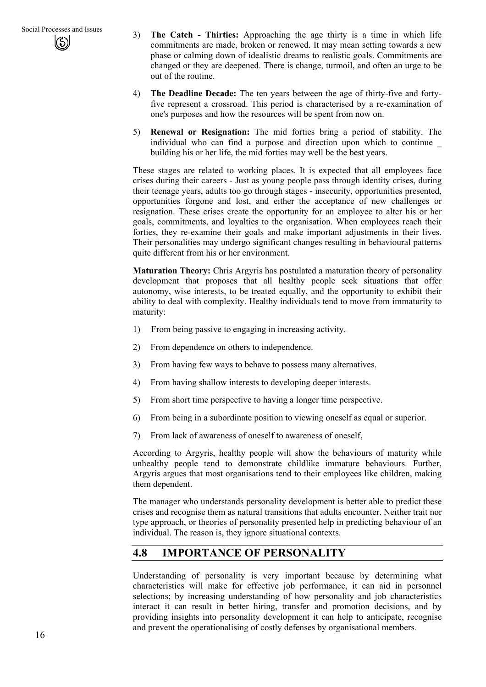- 3) **The Catch - Thirties:** Approaching the age thirty is a time in which life commitments are made, broken or renewed. It may mean setting towards a new phase or calming down of idealistic dreams to realistic goals. Commitments are changed or they are deepened. There is change, turmoil, and often an urge to be out of the routine.
- 4) **The Deadline Decade:** The ten years between the age of thirty-five and fortyfive represent a crossroad. This period is characterised by a re-examination of one's purposes and how the resources will be spent from now on.
- 5) **Renewal or Resignation:** The mid forties bring a period of stability. The individual who can find a purpose and direction upon which to continue \_ building his or her life, the mid forties may well be the best years.

These stages are related to working places. It is expected that all employees face crises during their careers - Just as young people pass through identity crises, during their teenage years, adults too go through stages - insecurity, opportunities presented, opportunities forgone and lost, and either the acceptance of new challenges or resignation. These crises create the opportunity for an employee to alter his or her goals, commitments, and loyalties to the organisation. When employees reach their forties, they re-examine their goals and make important adjustments in their lives. Their personalities may undergo significant changes resulting in behavioural patterns quite different from his or her environment.

**Maturation Theory:** Chris Argyris has postulated a maturation theory of personality development that proposes that all healthy people seek situations that offer autonomy, wise interests, to be treated equally, and the opportunity to exhibit their ability to deal with complexity. Healthy individuals tend to move from immaturity to maturity:

- 1) From being passive to engaging in increasing activity.
- 2) From dependence on others to independence.
- 3) From having few ways to behave to possess many alternatives.
- 4) From having shallow interests to developing deeper interests.
- 5) From short time perspective to having a longer time perspective.
- 6) From being in a subordinate position to viewing oneself as equal or superior.
- 7) From lack of awareness of oneself to awareness of oneself,

According to Argyris, healthy people will show the behaviours of maturity while unhealthy people tend to demonstrate childlike immature behaviours. Further, Argyris argues that most organisations tend to their employees like children, making them dependent.

The manager who understands personality development is better able to predict these crises and recognise them as natural transitions that adults encounter. Neither trait nor type approach, or theories of personality presented help in predicting behaviour of an individual. The reason is, they ignore situational contexts.

## **4.8 IMPORTANCE OF PERSONALITY**

Understanding of personality is very important because by determining what characteristics will make for effective job performance, it can aid in personnel selections; by increasing understanding of how personality and job characteristics interact it can result in better hiring, transfer and promotion decisions, and by providing insights into personality development it can help to anticipate, recognise and prevent the operationalising of costly defenses by organisational members.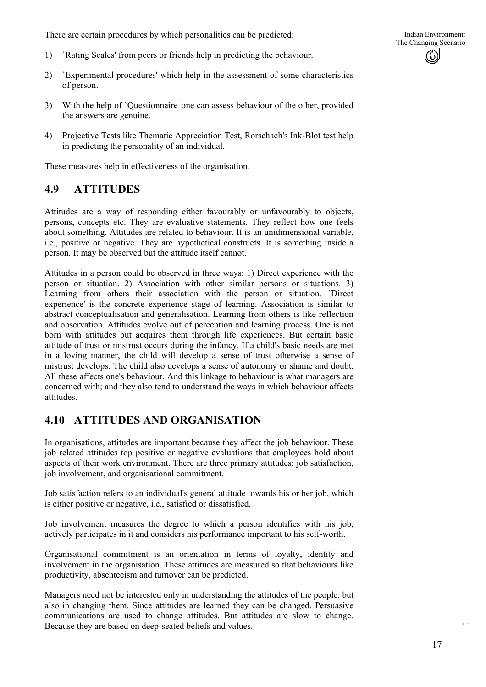There are certain procedures by which personalities can be predicted:

- 1) `Rating Scales' from peers or friends help in predicting the behaviour.
- 2) `Experimental procedures' which help in the assessment of some characteristics of person.
- 3) With the help of `Questionnaire' one can assess behaviour of the other, provided the answers are genuine.
- 4) Projective Tests like Thematic Appreciation Test, Rorschach's Ink-Blot test help in predicting the personality of an individual.

These measures help in effectiveness of the organisation.

### **4.9 ATTITUDES**

Attitudes are a way of responding either favourably or unfavourably to objects, persons, concepts etc. They are evaluative statements. They reflect how one feels about something. Attitudes are related to behaviour. It is an unidimensional variable, i.e., positive or negative. They are hypothetical constructs. It is something inside a person. It may be observed but the attitude itself cannot.

Attitudes in a person could be observed in three ways: 1) Direct experience with the person or situation. 2) Association with other similar persons or situations. 3) Learning from others their association with the person or situation. `Direct experience' is the concrete experience stage of learning. Association is similar to abstract conceptualisation and generalisation. Learning from others is like reflection and observation. Attitudes evolve out of perception and learning process. One is not born with attitudes but acquires them through life experiences. But certain basic attitude of trust or mistrust occurs during the infancy. If a child's basic needs are met in a loving manner, the child will develop a sense of trust otherwise a sense of mistrust develops. The child also develops a sense of autonomy or shame and doubt. All these affects one's behaviour. And this linkage to behaviour is what managers are concerned with; and they also tend to understand the ways in which behaviour affects attitudes.

## **4.10 ATTITUDES AND ORGANISATION**

In organisations, attitudes are important because they affect the job behaviour. These job related attitudes top positive or negative evaluations that employees hold about aspects of their work environment. There are three primary attitudes; job satisfaction, job involvement, and organisational commitment.

Job satisfaction refers to an individual's general attitude towards his or her job, which is either positive or negative, i.e., satisfied or dissatisfied.

Job involvement measures the degree to which a person identifies with his job, actively participates in it and considers his performance important to his self-worth.

Organisational commitment is an orientation in terms of loyalty, identity and involvement in the organisation. These attitudes are measured so that behaviours like productivity, absenteeism and turnover can be predicted.

Managers need not be interested only in understanding the attitudes of the people, but also in changing them. Since attitudes are learned they can be changed. Persuasive communications are used to change attitudes. But attitudes are slow to change. Because they are based on deep-seated beliefs and values.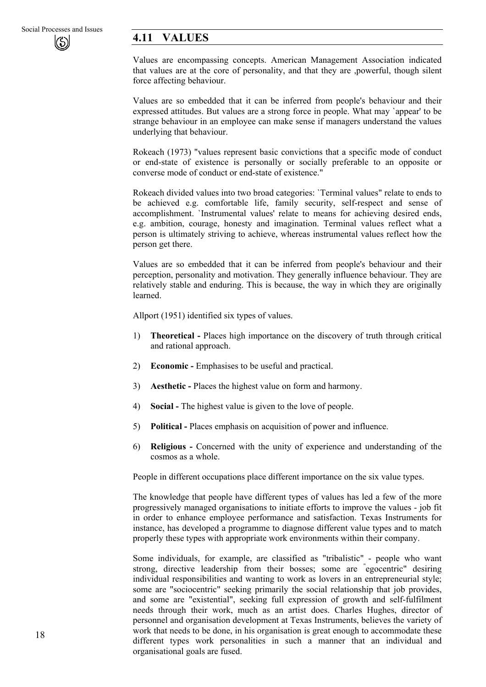# **4.11 VALUES**

Values are encompassing concepts. American Management Association indicated that values are at the core of personality, and that they are ,powerful, though silent force affecting behaviour.

Values are so embedded that it can be inferred from people's behaviour and their expressed attitudes. But values are a strong force in people. What may `appear' to be strange behaviour in an employee can make sense if managers understand the values underlying that behaviour.

Rokeach (1973) "values represent basic convictions that a specific mode of conduct or end-state of existence is personally or socially preferable to an opposite or converse mode of conduct or end-state of existence."

Rokeach divided values into two broad categories: `Terminal values" relate to ends to be achieved e.g. comfortable life, family security, self-respect and sense of accomplishment. `Instrumental values' relate to means for achieving desired ends, e.g. ambition, courage, honesty and imagination. Terminal values reflect what a person is ultimately striving to achieve, whereas instrumental values reflect how the person get there.

Values are so embedded that it can be inferred from people's behaviour and their perception, personality and motivation. They generally influence behaviour. They are relatively stable and enduring. This is because, the way in which they are originally learned.

Allport (1951) identified six types of values.

- 1) **Theoretical -** Places high importance on the discovery of truth through critical and rational approach.
- 2) **Economic -** Emphasises to be useful and practical.
- 3) **Aesthetic -** Places the highest value on form and harmony.
- 4) **Social -** The highest value is given to the love of people.
- 5) **Political -** Places emphasis on acquisition of power and influence.
- 6) **Religious -** Concerned with the unity of experience and understanding of the cosmos as a whole.

People in different occupations place different importance on the six value types.

The knowledge that people have different types of values has led a few of the more progressively managed organisations to initiate efforts to improve the values - job fit in order to enhance employee performance and satisfaction. Texas Instruments for instance, has developed a programme to diagnose different value types and to match properly these types with appropriate work environments within their company.

Some individuals, for example, are classified as "tribalistic" - people who want strong, directive leadership from their bosses; some are " egocentric" desiring individual responsibilities and wanting to work as lovers in an entrepreneurial style; some are "sociocentric" seeking primarily the social relationship that job provides, and some are "existential", seeking full expression of growth and self-fulfilment needs through their work, much as an artist does. Charles Hughes, director of personnel and organisation development at Texas Instruments, believes the variety of work that needs to be done, in his organisation is great enough to accommodate these different types work personalities in such a manner that an individual and organisational goals are fused.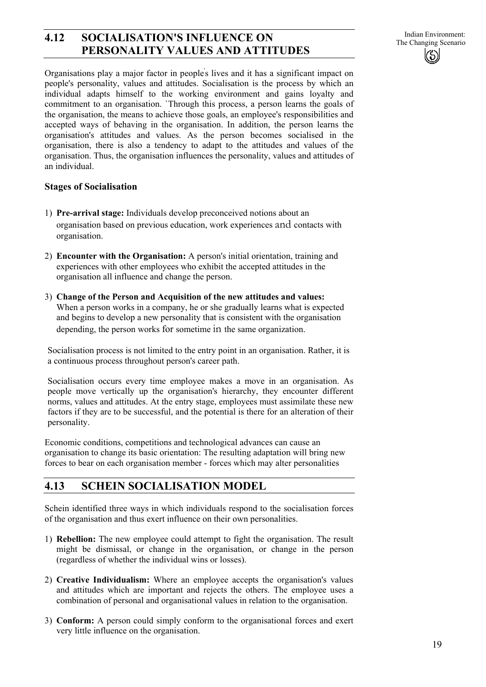# **4.12 SOCIALISATION'S INFLUENCE ON** Indian Environment:<br>The Changing Scenario **PERSONALITY VALUES AND ATTITUDES**

Organisations play a major factor in people' s lives and it has a significant impact on people's personality, values and attitudes. Socialisation is the process by which an individual adapts himself to the working environment and gains loyalty and commitment to an organisation. `Through this process, a person learns the goals of the organisation, the means to achieve those goals, an employee's responsibilities and accepted ways of behaving in the organisation. In addition, the person learns the organisation's attitudes and values. As the person becomes socialised in the organisation, there is also a tendency to adapt to the attitudes and values of the organisation. Thus, the organisation influences the personality, values and attitudes of an individual.

### **Stages of Socialisation**

- 1) **Pre-arrival stage:** Individuals develop preconceived notions about an organisation based on previous education, work experiences and contacts with organisation.
- 2) **Encounter with the Organisation:** A person's initial orientation, training and experiences with other employees who exhibit the accepted attitudes in the organisation all influence and change the person.
- 3) **Change of the Person and Acquisition of the new attitudes and values:**  When a person works in a company, he or she gradually learns what is expected and begins to develop a new personality that is consistent with the organisation depending, the person works for sometime in the same organization.

Socialisation process is not limited to the entry point in an organisation. Rather, it is a continuous process throughout person's career path.

Socialisation occurs every time employee makes a move in an organisation. As people move vertically up the organisation's hierarchy, they encounter different norms, values and attitudes. At the entry stage, employees must assimilate these new factors if they are to be successful, and the potential is there for an alteration of their personality.

Economic conditions, competitions and technological advances can cause an organisation to change its basic orientation: The resulting adaptation will bring new forces to bear on each organisation member - forces which may alter personalities

# **4.13 SCHEIN SOCIALISATION MODEL**

Schein identified three ways in which individuals respond to the socialisation forces of the organisation and thus exert influence on their own personalities.

- 1) **Rebellion:** The new employee could attempt to fight the organisation. The result might be dismissal, or change in the organisation, or change in the person (regardless of whether the individual wins or losses).
- 2) **Creative Individualism:** Where an employee accepts the organisation's values and attitudes which are important and rejects the others. The employee uses a combination of personal and organisational values in relation to the organisation.
- 3) **Conform:** A person could simply conform to the organisational forces and exert very little influence on the organisation.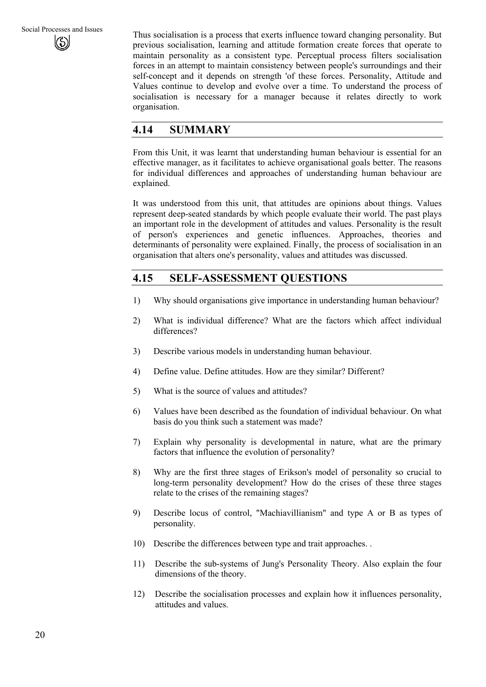Thus socialisation is a process that exerts influence toward changing personality. But previous socialisation, learning and attitude formation create forces that operate to maintain personality as a consistent type. Perceptual process filters socialisation forces in an attempt to maintain consistency between people's surroundings and their self-concept and it depends on strength 'of these forces. Personality, Attitude and Values continue to develop and evolve over a time. To understand the process of socialisation is necessary for a manager because it relates directly to work organisation.

# **4.14 SUMMARY**

From this Unit, it was learnt that understanding human behaviour is essential for an effective manager, as it facilitates to achieve organisational goals better. The reasons for individual differences and approaches of understanding human behaviour are explained.

It was understood from this unit, that attitudes are opinions about things. Values represent deep-seated standards by which people evaluate their world. The past plays an important role in the development of attitudes and values. Personality is the result of person's experiences and genetic influences. Approaches, theories and determinants of personality were explained. Finally, the process of socialisation in an organisation that alters one's personality, values and attitudes was discussed.

# **4.15 SELF-ASSESSMENT QUESTIONS**

- 1) Why should organisations give importance in understanding human behaviour?
- 2) What is individual difference? What are the factors which affect individual differences?
- 3) Describe various models in understanding human behaviour.
- 4) Define value. Define attitudes. How are they similar? Different?
- 5) What is the source of values and attitudes?
- 6) Values have been described as the foundation of individual behaviour. On what basis do you think such a statement was made?
- 7) Explain why personality is developmental in nature, what are the primary factors that influence the evolution of personality?
- 8) Why are the first three stages of Erikson's model of personality so crucial to long-term personality development? How do the crises of these three stages relate to the crises of the remaining stages?
- 9) Describe locus of control, "Machiavillianism" and type A or B as types of personality.
- 10) Describe the differences between type and trait approaches. .
- 11) Describe the sub-systems of Jung's Personality Theory. Also explain the four dimensions of the theory.
- 12) Describe the socialisation processes and explain how it influences personality, attitudes and values.